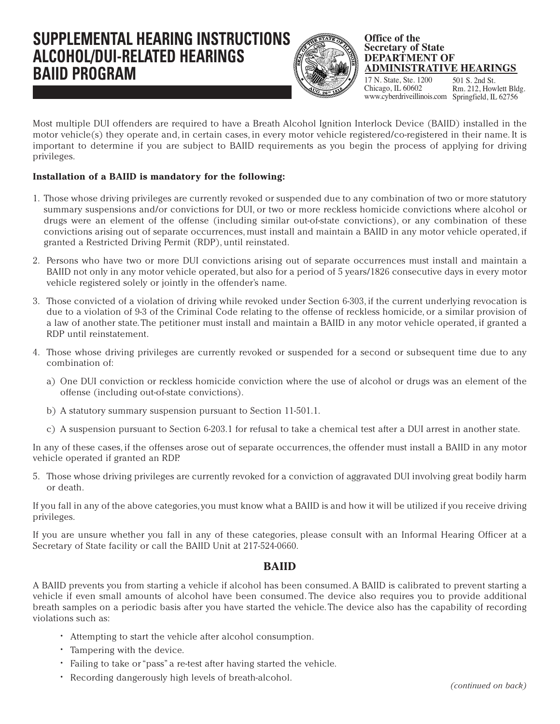# **SUPPLEMENTAL HEARING INSTRUCTIONS ALCOHOL/DUI-RELATED HEARINGS BAIID PROGRAM**  $\left(\frac{1}{2}\right)$  ADMINISTRATIVE HEARD



#### **Office of the Secretary of State DEPARTMENT OF ADMINISTRATIVE HEARINGS**

17 N. State, Ste. 1200 Chicago, IL 60602 www.cyberdriveillinois.com Springfield, IL 62756 Rm. 212, Howlett Bldg.

Most multiple DUI offenders are required to have a Breath Alcohol Ignition Interlock Device (BAIID) installed in the motor vehicle(s) they operate and, in certain cases, in every motor vehicle registered/co-registered in their name. It is important to determine if you are subject to BAIID requirements as you begin the process of applying for driving privileges.

## **Installation of a BAIID is mandatory for the following:**

- 1. Those whose driving privileges are currently revoked or suspended due to any combination of two or more statutory summary suspensions and/or convictions for DUI, or two or more reckless homicide convictions where alcohol or drugs were an element of the offense (including similar out-of-state convictions), or any combination of these convictions arising out of separate occurrences, must install and maintain a BAIID in any motor vehicle operated, if granted a Restricted Driving Permit (RDP), until reinstated.
- 2. Persons who have two or more DUI convictions arising out of separate occurrences must install and maintain a BAIID not only in any motor vehicle operated, but also for a period of 5 years/1826 consecutive days in every motor vehicle registered solely or jointly in the offender's name.
- 3. Those convicted of a violation of driving while revoked under Section 6-303, if the current underlying revocation is due to a violation of 9-3 of the Criminal Code relating to the offense of reckless homicide, or a similar provision of a law of another state. The petitioner must install and maintain a BAIID in any motor vehicle operated, if granted a RDP until reinstatement.
- 4. Those whose driving privileges are currently revoked or suspended for a second or subsequent time due to any combination of:
	- a) One DUI conviction or reckless homicide conviction where the use of alcohol or drugs was an element of the offense (including out-of-state convictions).
	- b) A statutory summary suspension pursuant to Section 11-501.1.
	- c) A suspension pursuant to Section 6-203.1 for refusal to take a chemical test after a DUI arrest in another state.

In any of these cases, if the offenses arose out of separate occurrences, the offender must install a BAIID in any motor vehicle operated if granted an RDP.

5. Those whose driving privileges are currently revoked for a conviction of aggravated DUI involving great bodily harm or death.

If you fall in any of the above categories, you must know what a BAIID is and how it will be utilized if you receive driving privileges.

If you are unsure whether you fall in any of these categories, please consult with an Informal Hearing Officer at a Secretary of State facility or call the BAIID Unit at 217-524-0660.

### **BAIID**

A BAIID prevents you from starting a vehicle if alcohol has been consumed. A BAIID is calibrated to prevent starting a vehicle if even small amounts of alcohol have been consumed. The device also requires you to provide additional breath samples on a periodic basis after you have started the vehicle. The device also has the capability of recording violations such as:

- Attempting to start the vehicle after alcohol consumption.
- Tampering with the device.
- Failing to take or "pass" a re-test after having started the vehicle.
- Recording dangerously high levels of breath-alcohol. *(continued on back)*